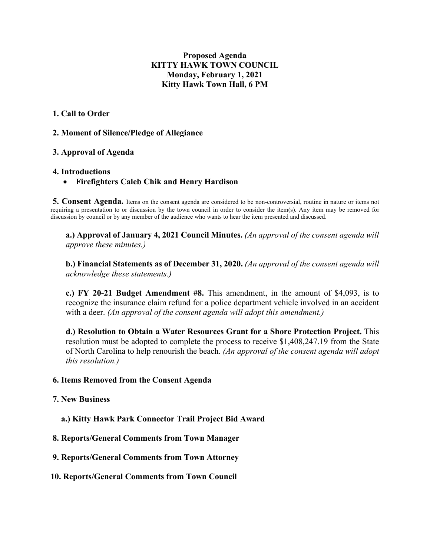# **Proposed Agenda KITTY HAWK TOWN COUNCIL Monday, February 1, 2021 Kitty Hawk Town Hall, 6 PM**

### **1. Call to Order**

## **2. Moment of Silence/Pledge of Allegiance**

#### **3. Approval of Agenda**

#### **4. Introductions**

• **Firefighters Caleb Chik and Henry Hardison**

**5. Consent Agenda.** Items on the consent agenda are considered to be non-controversial, routine in nature or items not requiring a presentation to or discussion by the town council in order to consider the item(s). Any item may be removed for discussion by council or by any member of the audience who wants to hear the item presented and discussed.

**a.) Approval of January 4, 2021 Council Minutes.** *(An approval of the consent agenda will approve these minutes.)* 

**b.) Financial Statements as of December 31, 2020.** *(An approval of the consent agenda will acknowledge these statements.)* 

**c.) FY 20-21 Budget Amendment #8.** This amendment, in the amount of \$4,093, is to recognize the insurance claim refund for a police department vehicle involved in an accident with a deer. *(An approval of the consent agenda will adopt this amendment.)* 

**d.) Resolution to Obtain a Water Resources Grant for a Shore Protection Project.** This resolution must be adopted to complete the process to receive \$1,408,247.19 from the State of North Carolina to help renourish the beach. *(An approval of the consent agenda will adopt this resolution.)* 

#### **6. Items Removed from the Consent Agenda**

- **7. New Business**
	- **a.) Kitty Hawk Park Connector Trail Project Bid Award**
- **8. Reports/General Comments from Town Manager**
- **9. Reports/General Comments from Town Attorney**

#### **10. Reports/General Comments from Town Council**